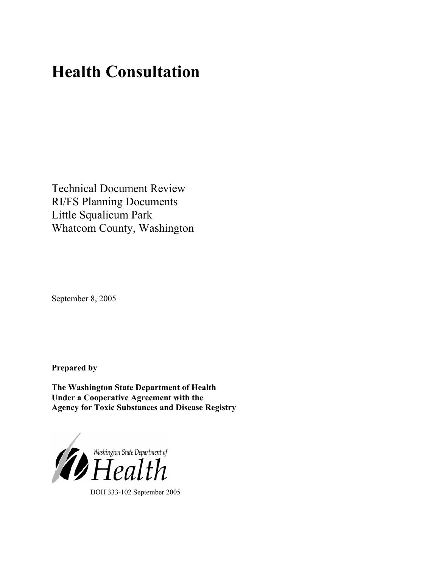# **Health Consultation**

Technical Document Review RI/FS Planning Documents Little Squalicum Park Whatcom County, Washington

September 8, 2005

**Prepared by** 

**The Washington State Department of Health Under a Cooperative Agreement with the Agency for Toxic Substances and Disease Registry**



DOH 333-102 September 2005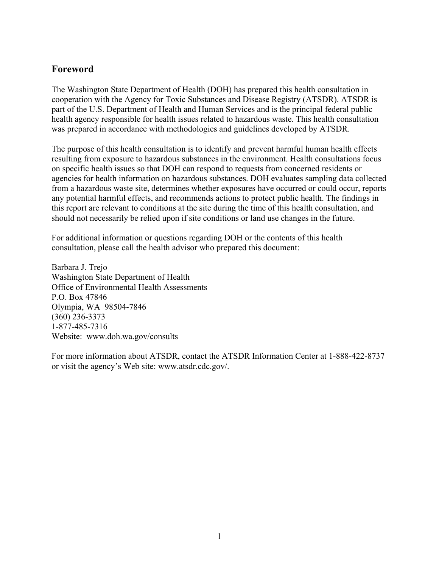# **Foreword**

The Washington State Department of Health (DOH) has prepared this health consultation in cooperation with the Agency for Toxic Substances and Disease Registry (ATSDR). ATSDR is part of the U.S. Department of Health and Human Services and is the principal federal public health agency responsible for health issues related to hazardous waste. This health consultation was prepared in accordance with methodologies and guidelines developed by ATSDR.

The purpose of this health consultation is to identify and prevent harmful human health effects resulting from exposure to hazardous substances in the environment. Health consultations focus on specific health issues so that DOH can respond to requests from concerned residents or agencies for health information on hazardous substances. DOH evaluates sampling data collected from a hazardous waste site, determines whether exposures have occurred or could occur, reports any potential harmful effects, and recommends actions to protect public health. The findings in this report are relevant to conditions at the site during the time of this health consultation, and should not necessarily be relied upon if site conditions or land use changes in the future.

For additional information or questions regarding DOH or the contents of this health consultation, please call the health advisor who prepared this document:

Barbara J. Trejo Washington State Department of Health Office of Environmental Health Assessments P.O. Box 47846 Olympia, WA 98504-7846 (360) 236-3373 1-877-485-7316 Website: [www.doh.wa.gov/](http://www.doh.wa.gov/consults)consults

For more information about ATSDR, contact the ATSDR Information Center at 1-888-422-8737 or visit the agency's Web site: www.atsdr.cdc.gov/.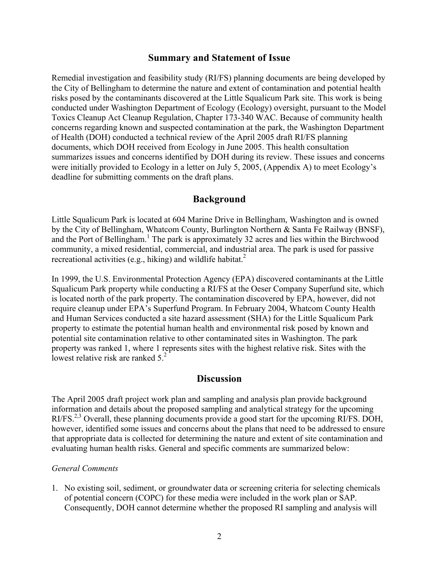### **Summary and Statement of Issue**

Remedial investigation and feasibility study (RI/FS) planning documents are being developed by the City of Bellingham to determine the nature and extent of contamination and potential health risks posed by the contaminants discovered at the Little Squalicum Park site. This work is being conducted under Washington Department of Ecology (Ecology) oversight, pursuant to the Model Toxics Cleanup Act Cleanup Regulation, Chapter 173-340 WAC. Because of community health concerns regarding known and suspected contamination at the park, the Washington Department of Health (DOH) conducted a technical review of the April 2005 draft RI/FS planning documents, which DOH received from Ecology in June 2005. This health consultation summarizes issues and concerns identified by DOH during its review. These issues and concerns were initially provided to Ecology in a letter on July 5, 2005, (Appendix A) to meet Ecology's deadline for submitting comments on the draft plans.

### **Background**

Little Squalicum Park is located at 604 Marine Drive in Bellingham, Washington and is owned by the City of Bellingham, Whatcom County, Burlington Northern & Santa Fe Railway (BNSF), and the Port of Bellingham.<sup>1</sup> The park is approximately 32 acres and lies within the Birchwood community, a mixed residential, commercial, and industrial area. The park is used for passive recreational activities (e.g., hiking) and wildlife habitat.<sup>2</sup>

In 1999, the U.S. Environmental Protection Agency (EPA) discovered contaminants at the Little Squalicum Park property while conducting a RI/FS at the Oeser Company Superfund site, which is located north of the park property. The contamination discovered by EPA, however, did not require cleanup under EPA's Superfund Program. In February 2004, Whatcom County Health and Human Services conducted a site hazard assessment (SHA) for the Little Squalicum Park property to estimate the potential human health and environmental risk posed by known and potential site contamination relative to other contaminated sites in Washington. The park property was ranked 1, where 1 represents sites with the highest relative risk. Sites with the lowest relative risk are ranked  $5<sup>2</sup>$ 

### **Discussion**

The April 2005 draft project work plan and sampling and analysis plan provide background information and details about the proposed sampling and analytical strategy for the upcoming RI/FS.<sup>2,3</sup> Overall, these planning documents provide a good start for the upcoming RI/FS. DOH, however, identified some issues and concerns about the plans that need to be addressed to ensure that appropriate data is collected for determining the nature and extent of site contamination and evaluating human health risks. General and specific comments are summarized below:

#### *General Comments*

1. No existing soil, sediment, or groundwater data or screening criteria for selecting chemicals of potential concern (COPC) for these media were included in the work plan or SAP. Consequently, DOH cannot determine whether the proposed RI sampling and analysis will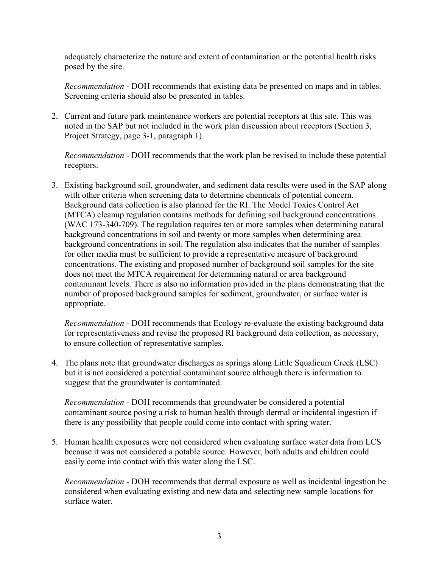adequately characterize the nature and extent of contamination or the potential health risks posed by the site.

*Recommendation* - DOH recommends that existing data be presented on maps and in tables. Screening criteria should also be presented in tables.

2. Current and future park maintenance workers are potential receptors at this site. This was noted in the SAP but not included in the work plan discussion about receptors (Section 3, Project Strategy, page 3-1, paragraph 1).

*Recommendation* - DOH recommends that the work plan be revised to include these potential receptors.

3. Existing background soil, groundwater, and sediment data results were used in the SAP along with other criteria when screening data to determine chemicals of potential concern. Background data collection is also planned for the RI. The Model Toxics Control Act (MTCA) cleanup regulation contains methods for defining soil background concentrations (WAC 173-340-709). The regulation requires ten or more samples when determining natural background concentrations in soil and twenty or more samples when determining area background concentrations in soil. The regulation also indicates that the number of samples for other media must be sufficient to provide a representative measure of background concentrations. The existing and proposed number of background soil samples for the site does not meet the MTCA requirement for determining natural or area background contaminant levels. There is also no information provided in the plans demonstrating that the number of proposed background samples for sediment, groundwater, or surface water is appropriate.

*Recommendation* - DOH recommends that Ecology re-evaluate the existing background data for representativeness and revise the proposed RI background data collection, as necessary, to ensure collection of representative samples.

4. The plans note that groundwater discharges as springs along Little Squalicum Creek (LSC) but it is not considered a potential contaminant source although there is information to suggest that the groundwater is contaminated.

*Recommendation* - DOH recommends that groundwater be considered a potential contaminant source posing a risk to human health through dermal or incidental ingestion if there is any possibility that people could come into contact with spring water.

5. Human health exposures were not considered when evaluating surface water data from LCS because it was not considered a potable source. However, both adults and children could easily come into contact with this water along the LSC.

*Recommendation* - DOH recommends that dermal exposure as well as incidental ingestion be considered when evaluating existing and new data and selecting new sample locations for surface water.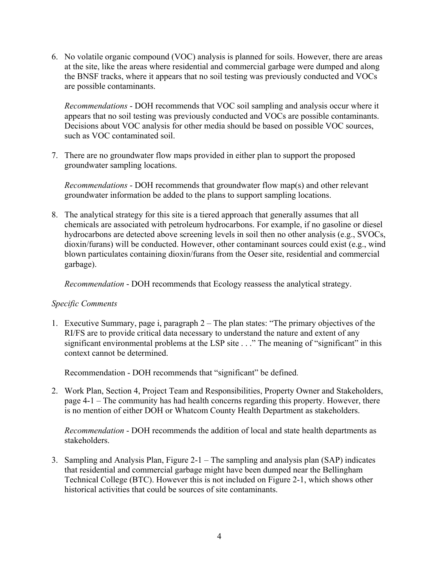6. No volatile organic compound (VOC) analysis is planned for soils. However, there are areas at the site, like the areas where residential and commercial garbage were dumped and along the BNSF tracks, where it appears that no soil testing was previously conducted and VOCs are possible contaminants.

*Recommendations* - DOH recommends that VOC soil sampling and analysis occur where it appears that no soil testing was previously conducted and VOCs are possible contaminants. Decisions about VOC analysis for other media should be based on possible VOC sources, such as VOC contaminated soil.

7. There are no groundwater flow maps provided in either plan to support the proposed groundwater sampling locations.

*Recommendations* - DOH recommends that groundwater flow map(s) and other relevant groundwater information be added to the plans to support sampling locations.

8. The analytical strategy for this site is a tiered approach that generally assumes that all chemicals are associated with petroleum hydrocarbons. For example, if no gasoline or diesel hydrocarbons are detected above screening levels in soil then no other analysis (e.g., SVOCs, dioxin/furans) will be conducted. However, other contaminant sources could exist (e.g., wind blown particulates containing dioxin/furans from the Oeser site, residential and commercial garbage).

*Recommendation* - DOH recommends that Ecology reassess the analytical strategy.

### *Specific Comments*

1. Executive Summary, page i, paragraph 2 – The plan states: "The primary objectives of the RI/FS are to provide critical data necessary to understand the nature and extent of any significant environmental problems at the LSP site . . ." The meaning of "significant" in this context cannot be determined.

Recommendation - DOH recommends that "significant" be defined.

2. Work Plan, Section 4, Project Team and Responsibilities, Property Owner and Stakeholders, page 4-1 – The community has had health concerns regarding this property. However, there is no mention of either DOH or Whatcom County Health Department as stakeholders.

*Recommendation* - DOH recommends the addition of local and state health departments as stakeholders.

3. Sampling and Analysis Plan, Figure 2-1 – The sampling and analysis plan (SAP) indicates that residential and commercial garbage might have been dumped near the Bellingham Technical College (BTC). However this is not included on Figure 2-1, which shows other historical activities that could be sources of site contaminants.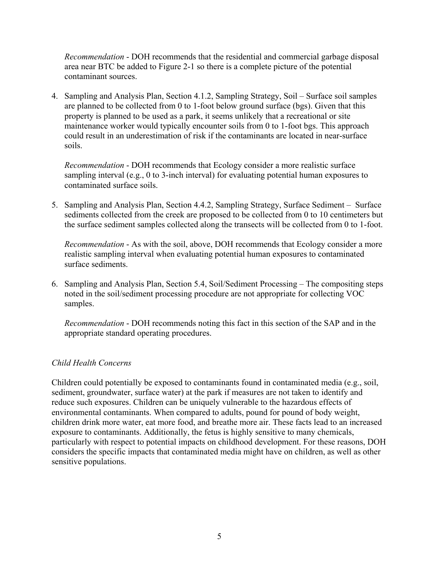*Recommendation* - DOH recommends that the residential and commercial garbage disposal area near BTC be added to Figure 2-1 so there is a complete picture of the potential contaminant sources.

4. Sampling and Analysis Plan, Section 4.1.2, Sampling Strategy, Soil – Surface soil samples are planned to be collected from 0 to 1-foot below ground surface (bgs). Given that this property is planned to be used as a park, it seems unlikely that a recreational or site maintenance worker would typically encounter soils from 0 to 1-foot bgs. This approach could result in an underestimation of risk if the contaminants are located in near-surface soils.

*Recommendation* - DOH recommends that Ecology consider a more realistic surface sampling interval (e.g., 0 to 3-inch interval) for evaluating potential human exposures to contaminated surface soils.

5. Sampling and Analysis Plan, Section 4.4.2, Sampling Strategy, Surface Sediment – Surface sediments collected from the creek are proposed to be collected from 0 to 10 centimeters but the surface sediment samples collected along the transects will be collected from 0 to 1-foot.

*Recommendation* - As with the soil, above, DOH recommends that Ecology consider a more realistic sampling interval when evaluating potential human exposures to contaminated surface sediments.

6. Sampling and Analysis Plan, Section 5.4, Soil/Sediment Processing – The compositing steps noted in the soil/sediment processing procedure are not appropriate for collecting VOC samples.

*Recommendation* - DOH recommends noting this fact in this section of the SAP and in the appropriate standard operating procedures.

### *Child Health Concerns*

Children could potentially be exposed to contaminants found in contaminated media (e.g., soil, sediment, groundwater, surface water) at the park if measures are not taken to identify and reduce such exposures. Children can be uniquely vulnerable to the hazardous effects of environmental contaminants. When compared to adults, pound for pound of body weight, children drink more water, eat more food, and breathe more air. These facts lead to an increased exposure to contaminants. Additionally, the fetus is highly sensitive to many chemicals, particularly with respect to potential impacts on childhood development. For these reasons, DOH considers the specific impacts that contaminated media might have on children, as well as other sensitive populations.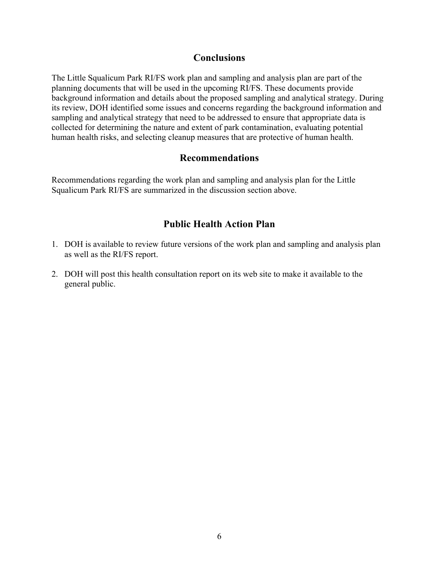# **Conclusions**

The Little Squalicum Park RI/FS work plan and sampling and analysis plan are part of the planning documents that will be used in the upcoming RI/FS. These documents provide background information and details about the proposed sampling and analytical strategy. During its review, DOH identified some issues and concerns regarding the background information and sampling and analytical strategy that need to be addressed to ensure that appropriate data is collected for determining the nature and extent of park contamination, evaluating potential human health risks, and selecting cleanup measures that are protective of human health.

# **Recommendations**

Recommendations regarding the work plan and sampling and analysis plan for the Little Squalicum Park RI/FS are summarized in the discussion section above.

# **Public Health Action Plan**

- 1. DOH is available to review future versions of the work plan and sampling and analysis plan as well as the RI/FS report.
- 2. DOH will post this health consultation report on its web site to make it available to the general public.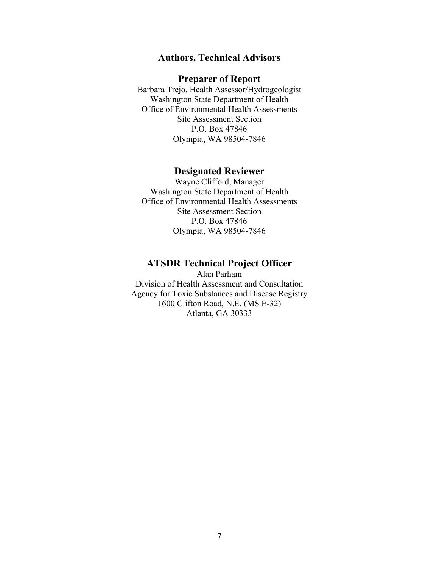### **Authors, Technical Advisors**

#### **Preparer of Report**

Barbara Trejo, Health Assessor/Hydrogeologist Washington State Department of Health Office of Environmental Health Assessments Site Assessment Section P.O. Box 47846 Olympia, WA 98504-7846

### **Designated Reviewer**

Wayne Clifford, Manager Washington State Department of Health Office of Environmental Health Assessments Site Assessment Section P.O. Box 47846 Olympia, WA 98504-7846

### **ATSDR Technical Project Officer**

Alan Parham Division of Health Assessment and Consultation Agency for Toxic Substances and Disease Registry 1600 Clifton Road, N.E. (MS E-32) Atlanta, GA 30333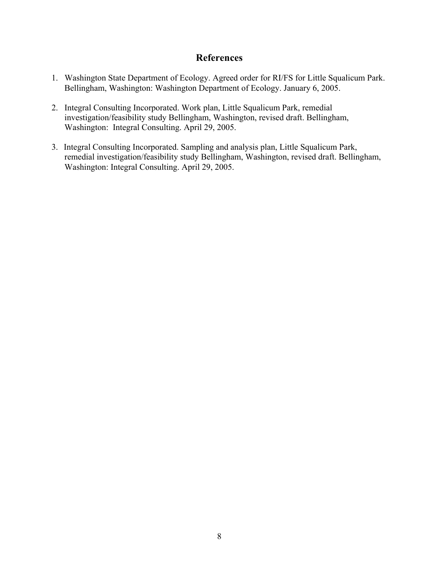# **References**

- 1. Washington State Department of Ecology. Agreed order for RI/FS for Little Squalicum Park. Bellingham, Washington: Washington Department of Ecology. January 6, 2005.
- 2. Integral Consulting Incorporated. Work plan, Little Squalicum Park, remedial investigation/feasibility study Bellingham, Washington, revised draft. Bellingham, Washington: Integral Consulting. April 29, 2005.
- 3. Integral Consulting Incorporated. Sampling and analysis plan, Little Squalicum Park, remedial investigation/feasibility study Bellingham, Washington, revised draft. Bellingham, Washington: Integral Consulting. April 29, 2005.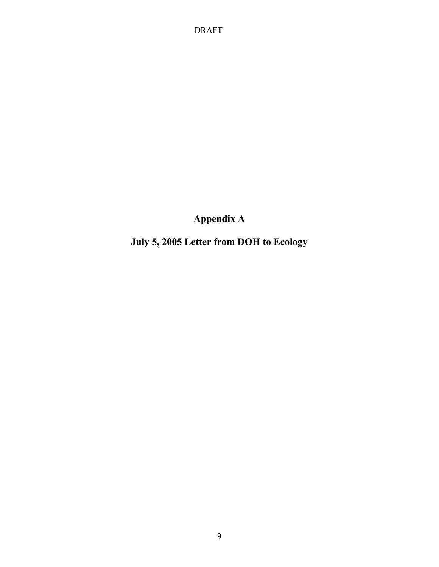DRAFT

**Appendix A** 

**July 5, 2005 Letter from DOH to Ecology**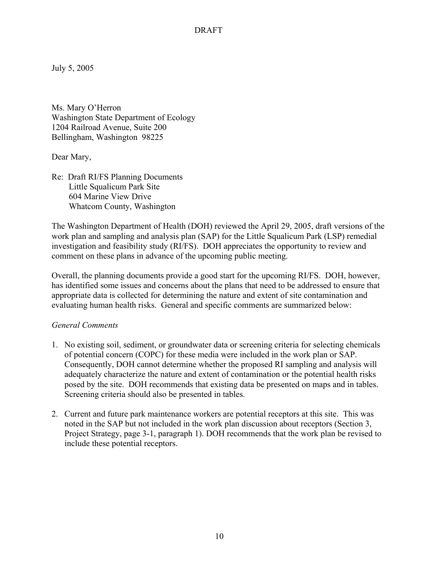July 5, 2005

Ms. Mary O'Herron Washington State Department of Ecology 1204 Railroad Avenue, Suite 200 Bellingham, Washington 98225

Dear Mary,

Re: Draft RI/FS Planning Documents Little Squalicum Park Site 604 Marine View Drive Whatcom County, Washington

The Washington Department of Health (DOH) reviewed the April 29, 2005, draft versions of the work plan and sampling and analysis plan (SAP) for the Little Squalicum Park (LSP) remedial investigation and feasibility study (RI/FS). DOH appreciates the opportunity to review and comment on these plans in advance of the upcoming public meeting.

Overall, the planning documents provide a good start for the upcoming RI/FS. DOH, however, has identified some issues and concerns about the plans that need to be addressed to ensure that appropriate data is collected for determining the nature and extent of site contamination and evaluating human health risks. General and specific comments are summarized below:

### *General Comments*

- 1. No existing soil, sediment, or groundwater data or screening criteria for selecting chemicals of potential concern (COPC) for these media were included in the work plan or SAP. Consequently, DOH cannot determine whether the proposed RI sampling and analysis will adequately characterize the nature and extent of contamination or the potential health risks posed by the site. DOH recommends that existing data be presented on maps and in tables. Screening criteria should also be presented in tables.
- 2. Current and future park maintenance workers are potential receptors at this site. This was noted in the SAP but not included in the work plan discussion about receptors (Section 3, Project Strategy, page 3-1, paragraph 1). DOH recommends that the work plan be revised to include these potential receptors.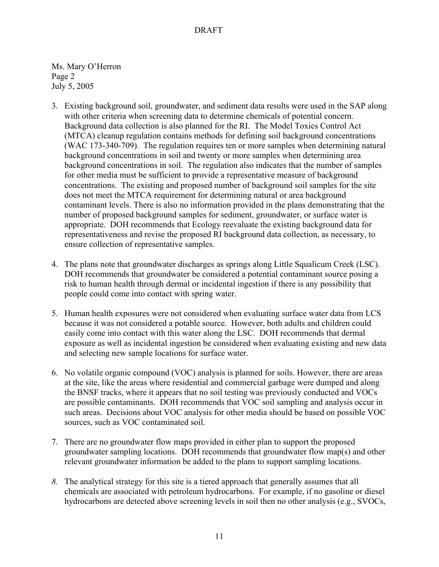Ms. Mary O'Herron Page 2 July 5, 2005

- 3. Existing background soil, groundwater, and sediment data results were used in the SAP along with other criteria when screening data to determine chemicals of potential concern. Background data collection is also planned for the RI. The Model Toxics Control Act (MTCA) cleanup regulation contains methods for defining soil background concentrations (WAC 173-340-709). The regulation requires ten or more samples when determining natural background concentrations in soil and twenty or more samples when determining area background concentrations in soil. The regulation also indicates that the number of samples for other media must be sufficient to provide a representative measure of background concentrations. The existing and proposed number of background soil samples for the site does not meet the MTCA requirement for determining natural or area background contaminant levels. There is also no information provided in the plans demonstrating that the number of proposed background samples for sediment, groundwater, or surface water is appropriate. DOH recommends that Ecology reevaluate the existing background data for representativeness and revise the proposed RI background data collection, as necessary, to ensure collection of representative samples.
- 4. The plans note that groundwater discharges as springs along Little Squalicum Creek (LSC). DOH recommends that groundwater be considered a potential contaminant source posing a risk to human health through dermal or incidental ingestion if there is any possibility that people could come into contact with spring water.
- 5. Human health exposures were not considered when evaluating surface water data from LCS because it was not considered a potable source. However, both adults and children could easily come into contact with this water along the LSC. DOH recommends that dermal exposure as well as incidental ingestion be considered when evaluating existing and new data and selecting new sample locations for surface water.
- 6. No volatile organic compound (VOC) analysis is planned for soils. However, there are areas at the site, like the areas where residential and commercial garbage were dumped and along the BNSF tracks, where it appears that no soil testing was previously conducted and VOCs are possible contaminants. DOH recommends that VOC soil sampling and analysis occur in such areas. Decisions about VOC analysis for other media should be based on possible VOC sources, such as VOC contaminated soil.
- 7. There are no groundwater flow maps provided in either plan to support the proposed groundwater sampling locations. DOH recommends that groundwater flow map(s) and other relevant groundwater information be added to the plans to support sampling locations.
- *8.* The analytical strategy for this site is a tiered approach that generally assumes that all chemicals are associated with petroleum hydrocarbons. For example, if no gasoline or diesel hydrocarbons are detected above screening levels in soil then no other analysis (e.g., SVOCs,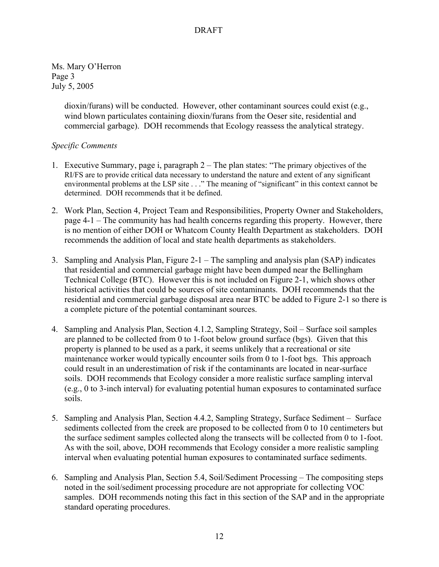Ms. Mary O'Herron Page 3 July 5, 2005

> dioxin/furans) will be conducted. However, other contaminant sources could exist (e.g., wind blown particulates containing dioxin/furans from the Oeser site, residential and commercial garbage). DOH recommends that Ecology reassess the analytical strategy.

### *Specific Comments*

- 1. Executive Summary, page i, paragraph 2 The plan states: "The primary objectives of the RI/FS are to provide critical data necessary to understand the nature and extent of any significant environmental problems at the LSP site . . ." The meaning of "significant" in this context cannot be determined. DOH recommends that it be defined.
- 2. Work Plan, Section 4, Project Team and Responsibilities, Property Owner and Stakeholders, page 4-1 – The community has had health concerns regarding this property. However, there is no mention of either DOH or Whatcom County Health Department as stakeholders. DOH recommends the addition of local and state health departments as stakeholders.
- 3. Sampling and Analysis Plan, Figure 2-1 The sampling and analysis plan (SAP) indicates that residential and commercial garbage might have been dumped near the Bellingham Technical College (BTC). However this is not included on Figure 2-1, which shows other historical activities that could be sources of site contaminants. DOH recommends that the residential and commercial garbage disposal area near BTC be added to Figure 2-1 so there is a complete picture of the potential contaminant sources.
- 4. Sampling and Analysis Plan, Section 4.1.2, Sampling Strategy, Soil Surface soil samples are planned to be collected from 0 to 1-foot below ground surface (bgs). Given that this property is planned to be used as a park, it seems unlikely that a recreational or site maintenance worker would typically encounter soils from 0 to 1-foot bgs. This approach could result in an underestimation of risk if the contaminants are located in near-surface soils. DOH recommends that Ecology consider a more realistic surface sampling interval (e.g., 0 to 3-inch interval) for evaluating potential human exposures to contaminated surface soils.
- 5. Sampling and Analysis Plan, Section 4.4.2, Sampling Strategy, Surface Sediment Surface sediments collected from the creek are proposed to be collected from 0 to 10 centimeters but the surface sediment samples collected along the transects will be collected from 0 to 1-foot. As with the soil, above, DOH recommends that Ecology consider a more realistic sampling interval when evaluating potential human exposures to contaminated surface sediments.
- 6. Sampling and Analysis Plan, Section 5.4, Soil/Sediment Processing The compositing steps noted in the soil/sediment processing procedure are not appropriate for collecting VOC samples. DOH recommends noting this fact in this section of the SAP and in the appropriate standard operating procedures.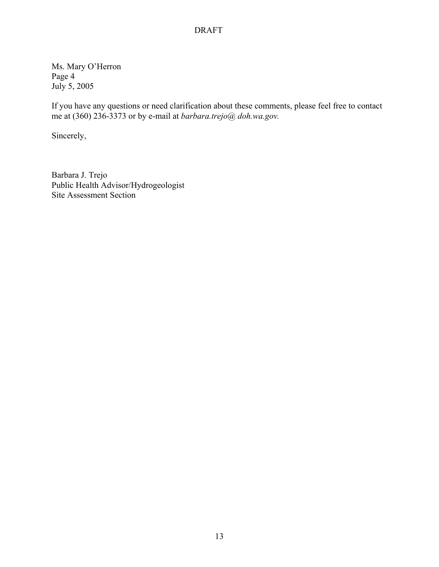### DRAFT

Ms. Mary O'Herron Page 4 July 5, 2005

If you have any questions or need clarification about these comments, please feel free to contact me at (360) 236-3373 or by e-mail at *barbara.trejo@ doh.wa.gov.* 

Sincerely,

Barbara J. Trejo Public Health Advisor/Hydrogeologist Site Assessment Section